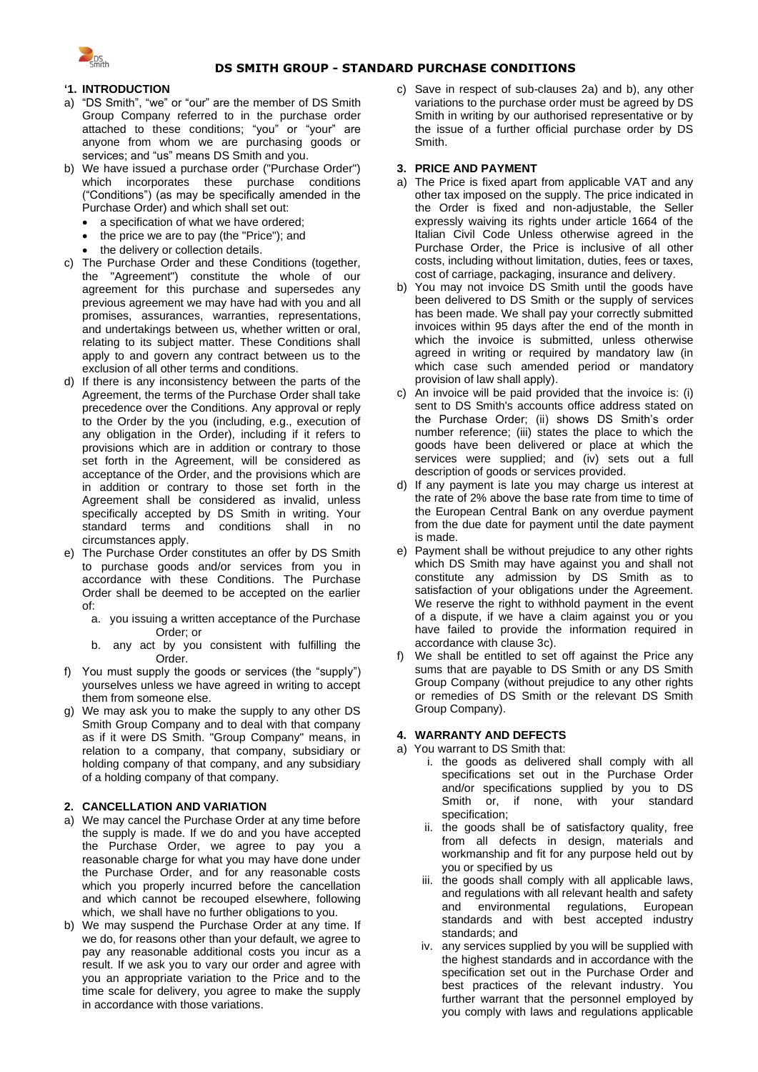

## **DS SMITH GROUP - STANDARD PURCHASE CONDITIONS**

## **'1. INTRODUCTION**

- a) "DS Smith", "we" or "our" are the member of DS Smith Group Company referred to in the purchase order attached to these conditions; "you" or "your" are anyone from whom we are purchasing goods or services; and "us" means DS Smith and you.
- b) We have issued a purchase order ("Purchase Order") which incorporates these purchase conditions ("Conditions") (as may be specifically amended in the Purchase Order) and which shall set out:
	- a specification of what we have ordered:
	- the price we are to pay (the "Price"); and
	- the delivery or collection details.
- c) The Purchase Order and these Conditions (together, the "Agreement") constitute the whole of our agreement for this purchase and supersedes any previous agreement we may have had with you and all promises, assurances, warranties, representations, and undertakings between us, whether written or oral, relating to its subject matter. These Conditions shall apply to and govern any contract between us to the exclusion of all other terms and conditions.
- d) If there is any inconsistency between the parts of the Agreement, the terms of the Purchase Order shall take precedence over the Conditions. Any approval or reply to the Order by the you (including, e.g., execution of any obligation in the Order), including if it refers to provisions which are in addition or contrary to those set forth in the Agreement, will be considered as acceptance of the Order, and the provisions which are in addition or contrary to those set forth in the Agreement shall be considered as invalid, unless specifically accepted by DS Smith in writing. Your standard terms and conditions shall in no circumstances apply.
- e) The Purchase Order constitutes an offer by DS Smith to purchase goods and/or services from you in accordance with these Conditions. The Purchase Order shall be deemed to be accepted on the earlier of:
	- a. you issuing a written acceptance of the Purchase Order; or
	- b. any act by you consistent with fulfilling the Order.
- f) You must supply the goods or services (the "supply") yourselves unless we have agreed in writing to accept them from someone else.
- g) We may ask you to make the supply to any other DS Smith Group Company and to deal with that company as if it were DS Smith. "Group Company" means, in relation to a company, that company, subsidiary or holding company of that company, and any subsidiary of a holding company of that company.

### **2. CANCELLATION AND VARIATION**

- <span id="page-0-0"></span>a) We may cancel the Purchase Order at any time before the supply is made. If we do and you have accepted the Purchase Order, we agree to pay you a reasonable charge for what you may have done under the Purchase Order, and for any reasonable costs which you properly incurred before the cancellation and which cannot be recouped elsewhere, following which, we shall have no further obligations to you.
- <span id="page-0-1"></span>b) We may suspend the Purchase Order at any time. If we do, for reasons other than your default, we agree to pay any reasonable additional costs you incur as a result. If we ask you to vary our order and agree with you an appropriate variation to the Price and to the time scale for delivery, you agree to make the supply in accordance with those variations.

c) Save in respect of sub-clauses [2a\)](#page-0-0) and [b\),](#page-0-1) any other variations to the purchase order must be agreed by DS Smith in writing by our authorised representative or by the issue of a further official purchase order by DS Smith.

## **3. PRICE AND PAYMENT**

- a) The Price is fixed apart from applicable VAT and any other tax imposed on the supply. The price indicated in the Order is fixed and non-adjustable, the Seller expressly waiving its rights under article 1664 of the Italian Civil Code Unless otherwise agreed in the Purchase Order, the Price is inclusive of all other costs, including without limitation, duties, fees or taxes, cost of carriage, packaging, insurance and delivery.
- b) You may not invoice DS Smith until the goods have been delivered to DS Smith or the supply of services has been made. We shall pay your correctly submitted invoices within 95 days after the end of the month in which the invoice is submitted, unless otherwise agreed in writing or required by mandatory law (in which case such amended period or mandatory provision of law shall apply).
- An invoice will be paid provided that the invoice is: (i) sent to DS Smith's accounts office address stated on the Purchase Order; (ii) shows DS Smith's order number reference; (iii) states the place to which the goods have been delivered or place at which the services were supplied; and (iv) sets out a full description of goods or services provided.
- d) If any payment is late you may charge us interest at the rate of 2% above the base rate from time to time of the European Central Bank on any overdue payment from the due date for payment until the date payment is made.
- e) Payment shall be without prejudice to any other rights which DS Smith may have against you and shall not constitute any admission by DS Smith as to satisfaction of your obligations under the Agreement. We reserve the right to withhold payment in the event of a dispute, if we have a claim against you or you have failed to provide the information required in accordance with clause 3c).
- f) We shall be entitled to set off against the Price any sums that are payable to DS Smith or any DS Smith Group Company (without prejudice to any other rights or remedies of DS Smith or the relevant DS Smith Group Company).

### **4. WARRANTY AND DEFECTS**

- a) You warrant to DS Smith that:
	- i. the goods as delivered shall comply with all specifications set out in the Purchase Order and/or specifications supplied by you to DS Smith or, if none, with your standard specification;
	- ii. the goods shall be of satisfactory quality, free from all defects in design, materials and workmanship and fit for any purpose held out by you or specified by us
	- iii. the goods shall comply with all applicable laws, and regulations with all relevant health and safety and environmental regulations, European standards and with best accepted industry standards; and
	- iv. any services supplied by you will be supplied with the highest standards and in accordance with the specification set out in the Purchase Order and best practices of the relevant industry. You further warrant that the personnel employed by you comply with laws and regulations applicable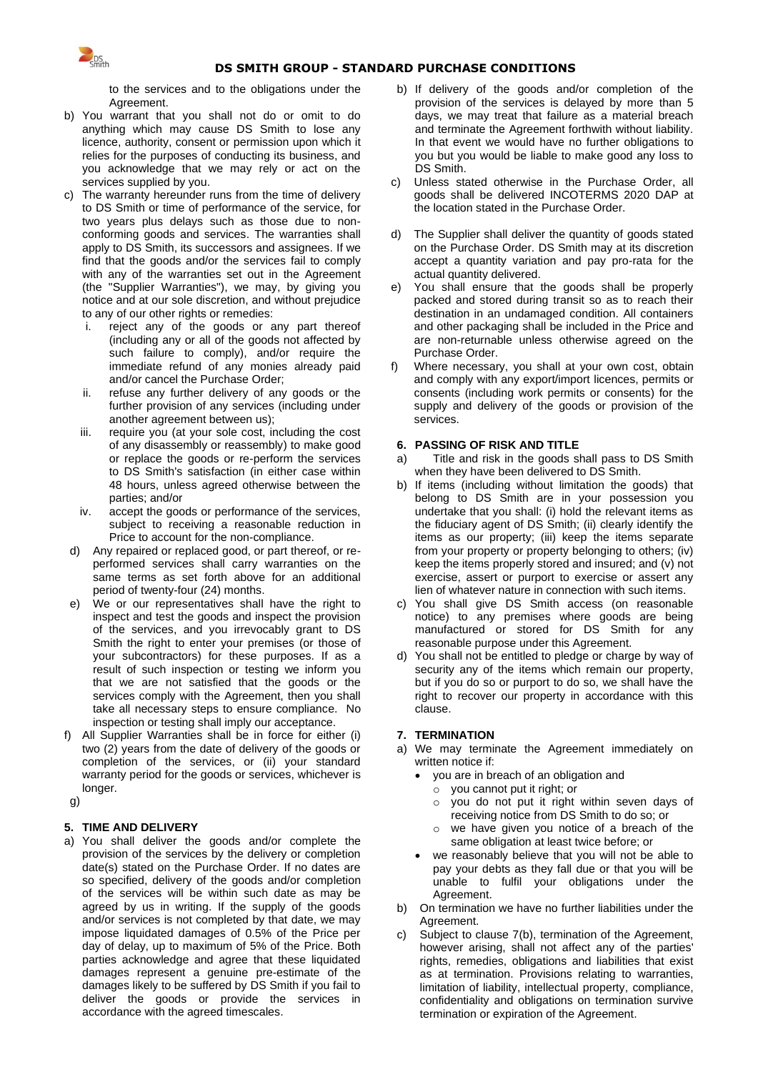$\overline{S}$ 

## **DS SMITH GROUP - STANDARD PURCHASE CONDITIONS**

to the services and to the obligations under the Agreement.

- b) You warrant that you shall not do or omit to do anything which may cause DS Smith to lose any licence, authority, consent or permission upon which it relies for the purposes of conducting its business, and you acknowledge that we may rely or act on the services supplied by you.
- c) The warranty hereunder runs from the time of delivery to DS Smith or time of performance of the service, for two years plus delays such as those due to nonconforming goods and services. The warranties shall apply to DS Smith, its successors and assignees. If we find that the goods and/or the services fail to comply with any of the warranties set out in the Agreement (the "Supplier Warranties"), we may, by giving you notice and at our sole discretion, and without prejudice to any of our other rights or remedies:
	- reject any of the goods or any part thereof (including any or all of the goods not affected by such failure to comply), and/or require the immediate refund of any monies already paid and/or cancel the Purchase Order;
	- ii. refuse any further delivery of any goods or the further provision of any services (including under another agreement between us);
	- iii. require you (at your sole cost, including the cost of any disassembly or reassembly) to make good or replace the goods or re-perform the services to DS Smith's satisfaction (in either case within 48 hours, unless agreed otherwise between the parties; and/or
	- iv. accept the goods or performance of the services, subject to receiving a reasonable reduction in Price to account for the non-compliance.
- d) Any repaired or replaced good, or part thereof, or reperformed services shall carry warranties on the same terms as set forth above for an additional period of twenty-four (24) months.
- e) We or our representatives shall have the right to inspect and test the goods and inspect the provision of the services, and you irrevocably grant to DS Smith the right to enter your premises (or those of your subcontractors) for these purposes. If as a result of such inspection or testing we inform you that we are not satisfied that the goods or the services comply with the Agreement, then you shall take all necessary steps to ensure compliance. No inspection or testing shall imply our acceptance.
- f) All Supplier Warranties shall be in force for either (i) two (2) years from the date of delivery of the goods or completion of the services, or (ii) your standard warranty period for the goods or services, whichever is longer.
- g)

# **5. TIME AND DELIVERY**

a) You shall deliver the goods and/or complete the provision of the services by the delivery or completion date(s) stated on the Purchase Order. If no dates are so specified, delivery of the goods and/or completion of the services will be within such date as may be agreed by us in writing. If the supply of the goods and/or services is not completed by that date, we may impose liquidated damages of 0.5% of the Price per day of delay, up to maximum of 5% of the Price. Both parties acknowledge and agree that these liquidated damages represent a genuine pre-estimate of the damages likely to be suffered by DS Smith if you fail to deliver the goods or provide the services in accordance with the agreed timescales.

- b) If delivery of the goods and/or completion of the provision of the services is delayed by more than 5 days, we may treat that failure as a material breach and terminate the Agreement forthwith without liability. In that event we would have no further obligations to you but you would be liable to make good any loss to DS Smith.
- c) Unless stated otherwise in the Purchase Order, all goods shall be delivered INCOTERMS 2020 DAP at the location stated in the Purchase Order.
- d) The Supplier shall deliver the quantity of goods stated on the Purchase Order. DS Smith may at its discretion accept a quantity variation and pay pro-rata for the actual quantity delivered.
- e) You shall ensure that the goods shall be properly packed and stored during transit so as to reach their destination in an undamaged condition. All containers and other packaging shall be included in the Price and are non-returnable unless otherwise agreed on the Purchase Order.
- Where necessary, you shall at your own cost, obtain and comply with any export/import licences, permits or consents (including work permits or consents) for the supply and delivery of the goods or provision of the services.

#### **6. PASSING OF RISK AND TITLE**

- a) Title and risk in the goods shall pass to DS Smith when they have been delivered to DS Smith.
- b) If items (including without limitation the goods) that belong to DS Smith are in your possession you undertake that you shall: (i) hold the relevant items as the fiduciary agent of DS Smith; (ii) clearly identify the items as our property; (iii) keep the items separate from your property or property belonging to others; (iv) keep the items properly stored and insured; and (v) not exercise, assert or purport to exercise or assert any lien of whatever nature in connection with such items.
- c) You shall give DS Smith access (on reasonable notice) to any premises where goods are being manufactured or stored for DS Smith for any reasonable purpose under this Agreement.
- d) You shall not be entitled to pledge or charge by way of security any of the items which remain our property, but if you do so or purport to do so, we shall have the right to recover our property in accordance with this clause.

#### **7. TERMINATION**

- a) We may terminate the Agreement immediately on written notice if:
	- you are in breach of an obligation and
		- o you cannot put it right; or
		- o you do not put it right within seven days of receiving notice from DS Smith to do so; or
		- o we have given you notice of a breach of the same obligation at least twice before; or
	- we reasonably believe that you will not be able to pay your debts as they fall due or that you will be unable to fulfil your obligations under the Agreement.
- b) On termination we have no further liabilities under the Agreement.
- c) Subject to clause 7(b), termination of the Agreement, however arising, shall not affect any of the parties' rights, remedies, obligations and liabilities that exist as at termination. Provisions relating to warranties, limitation of liability, intellectual property, compliance, confidentiality and obligations on termination survive termination or expiration of the Agreement.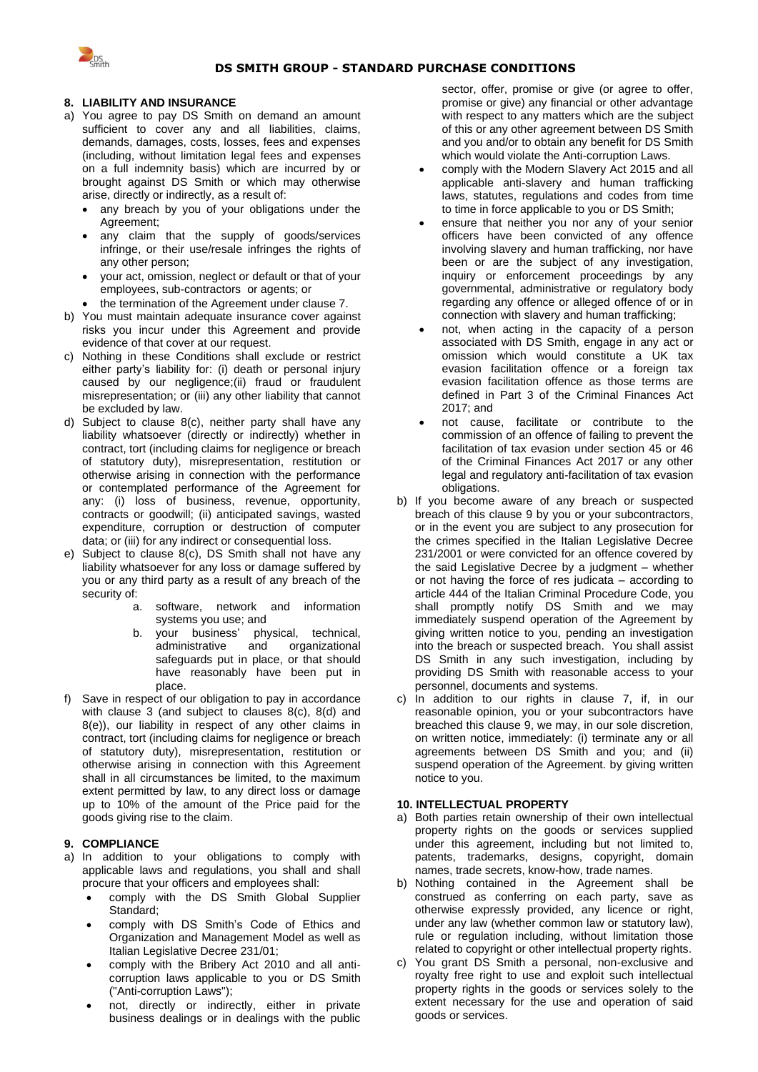

### **8. LIABILITY AND INSURANCE**

- a) You agree to pay DS Smith on demand an amount sufficient to cover any and all liabilities, claims, demands, damages, costs, losses, fees and expenses (including, without limitation legal fees and expenses on a full indemnity basis) which are incurred by or brought against DS Smith or which may otherwise arise, directly or indirectly, as a result of:
	- any breach by you of your obligations under the Agreement;
	- any claim that the supply of goods/services infringe, or their use/resale infringes the rights of any other person;
	- your act, omission, neglect or default or that of your employees, sub-contractors or agents; or
	- the termination of the Agreement under clause 7.
- b) You must maintain adequate insurance cover against risks you incur under this Agreement and provide evidence of that cover at our request.
- c) Nothing in these Conditions shall exclude or restrict either party's liability for: (i) death or personal injury caused by our negligence;(ii) fraud or fraudulent misrepresentation; or (iii) any other liability that cannot be excluded by law.
- d) Subject to clause 8(c), neither party shall have any liability whatsoever (directly or indirectly) whether in contract, tort (including claims for negligence or breach of statutory duty), misrepresentation, restitution or otherwise arising in connection with the performance or contemplated performance of the Agreement for any: (i) loss of business, revenue, opportunity, contracts or goodwill; (ii) anticipated savings, wasted expenditure, corruption or destruction of computer data; or (iii) for any indirect or consequential loss.
- e) Subject to clause 8(c), DS Smith shall not have any liability whatsoever for any loss or damage suffered by you or any third party as a result of any breach of the security of:
	- a. software, network and information systems you use; and
	- b. your business' physical, technical, administrative and organizational safeguards put in place, or that should have reasonably have been put in place.
- f) Save in respect of our obligation to pay in accordance with clause 3 (and subject to clauses 8(c), 8(d) and 8(e)), our liability in respect of any other claims in contract, tort (including claims for negligence or breach of statutory duty), misrepresentation, restitution or otherwise arising in connection with this Agreement shall in all circumstances be limited, to the maximum extent permitted by law, to any direct loss or damage up to 10% of the amount of the Price paid for the goods giving rise to the claim.

### **9. COMPLIANCE**

- a) In addition to your obligations to comply with applicable laws and regulations, you shall and shall procure that your officers and employees shall:
	- comply with the DS Smith Global Supplier Standard;
	- comply with DS Smith's Code of Ethics and Organization and Management Model as well as Italian Legislative Decree 231/01;
	- comply with the Bribery Act 2010 and all anticorruption laws applicable to you or DS Smith ("Anti-corruption Laws");
	- not, directly or indirectly, either in private business dealings or in dealings with the public

sector, offer, promise or give (or agree to offer, promise or give) any financial or other advantage with respect to any matters which are the subject of this or any other agreement between DS Smith and you and/or to obtain any benefit for DS Smith which would violate the Anti-corruption Laws.

- comply with the Modern Slavery Act 2015 and all applicable anti-slavery and human trafficking laws, statutes, regulations and codes from time to time in force applicable to you or DS Smith;
- ensure that neither you nor any of your senior officers have been convicted of any offence involving slavery and human trafficking, nor have been or are the subject of any investigation, inquiry or enforcement proceedings by any governmental, administrative or regulatory body regarding any offence or alleged offence of or in connection with slavery and human trafficking;
- not, when acting in the capacity of a person associated with DS Smith, engage in any act or omission which would constitute a UK tax evasion facilitation offence or a foreign tax evasion facilitation offence as those terms are defined in Part 3 of the Criminal Finances Act 2017; and
- not cause, facilitate or contribute to the commission of an offence of failing to prevent the facilitation of tax evasion under section 45 or 46 of the Criminal Finances Act 2017 or any other legal and regulatory anti-facilitation of tax evasion obligations.
- b) If you become aware of any breach or suspected breach of this clause 9 by you or your subcontractors, or in the event you are subject to any prosecution for the crimes specified in the Italian Legislative Decree 231/2001 or were convicted for an offence covered by the said Legislative Decree by a judgment – whether or not having the force of res judicata – according to article 444 of the Italian Criminal Procedure Code, you shall promptly notify DS Smith and we may immediately suspend operation of the Agreement by giving written notice to you, pending an investigation into the breach or suspected breach. You shall assist DS Smith in any such investigation, including by providing DS Smith with reasonable access to your personnel, documents and systems.
- c) In addition to our rights in clause 7, if, in our reasonable opinion, you or your subcontractors have breached this clause 9, we may, in our sole discretion, on written notice, immediately: (i) terminate any or all agreements between DS Smith and you; and (ii) suspend operation of the Agreement. by giving written notice to you.

### **10. INTELLECTUAL PROPERTY**

- a) Both parties retain ownership of their own intellectual property rights on the goods or services supplied under this agreement, including but not limited to, patents, trademarks, designs, copyright, domain names, trade secrets, know-how, trade names.
- b) Nothing contained in the Agreement shall be construed as conferring on each party, save as otherwise expressly provided, any licence or right, under any law (whether common law or statutory law), rule or regulation including, without limitation those related to copyright or other intellectual property rights.
- c) You grant DS Smith a personal, non-exclusive and royalty free right to use and exploit such intellectual property rights in the goods or services solely to the extent necessary for the use and operation of said goods or services.